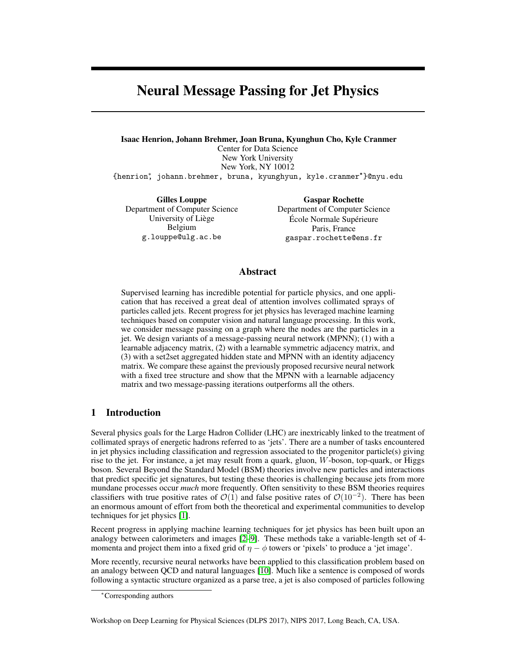# Neural Message Passing for Jet Physics

Isaac Henrion, Johann Brehmer, Joan Bruna, Kyunghun Cho, Kyle Cranmer Center for Data Science New York University New York, NY 10012 {henrion∗, johann.brehmer, bruna, kyunghyun, kyle.cranmer\*}@nyu.edu

Gilles Louppe Department of Computer Science University of Liège Belgium g.louppe@ulg.ac.be

Gaspar Rochette Department of Computer Science École Normale Supérieure Paris, France gaspar.rochette@ens.fr

## Abstract

Supervised learning has incredible potential for particle physics, and one application that has received a great deal of attention involves collimated sprays of particles called jets. Recent progress for jet physics has leveraged machine learning techniques based on computer vision and natural language processing. In this work, we consider message passing on a graph where the nodes are the particles in a jet. We design variants of a message-passing neural network (MPNN); (1) with a learnable adjacency matrix, (2) with a learnable symmetric adjacency matrix, and (3) with a set2set aggregated hidden state and MPNN with an identity adjacency matrix. We compare these against the previously proposed recursive neural network with a fixed tree structure and show that the MPNN with a learnable adjacency matrix and two message-passing iterations outperforms all the others.

# 1 Introduction

Several physics goals for the Large Hadron Collider (LHC) are inextricably linked to the treatment of collimated sprays of energetic hadrons referred to as 'jets'. There are a number of tasks encountered in jet physics including classification and regression associated to the progenitor particle(s) giving rise to the jet. For instance, a jet may result from a quark, gluon, W-boson, top-quark, or Higgs boson. Several Beyond the Standard Model (BSM) theories involve new particles and interactions that predict specific jet signatures, but testing these theories is challenging because jets from more mundane processes occur *much* more frequently. Often sensitivity to these BSM theories requires classifiers with true positive rates of  $\mathcal{O}(1)$  and false positive rates of  $\mathcal{O}(10^{-2})$ . There has been an enormous amount of effort from both the theoretical and experimental communities to develop techniques for jet physics [\[1\]](#page-4-0).

Recent progress in applying machine learning techniques for jet physics has been built upon an analogy between calorimeters and images [\[2](#page-4-1)[–9\]](#page-4-2). These methods take a variable-length set of 4 momenta and project them into a fixed grid of  $\eta - \phi$  towers or 'pixels' to produce a 'jet image'.

More recently, recursive neural networks have been applied to this classification problem based on an analogy between QCD and natural languages [\[10\]](#page-4-3). Much like a sentence is composed of words following a syntactic structure organized as a parse tree, a jet is also composed of particles following

Workshop on Deep Learning for Physical Sciences (DLPS 2017), NIPS 2017, Long Beach, CA, USA.

<sup>∗</sup>Corresponding authors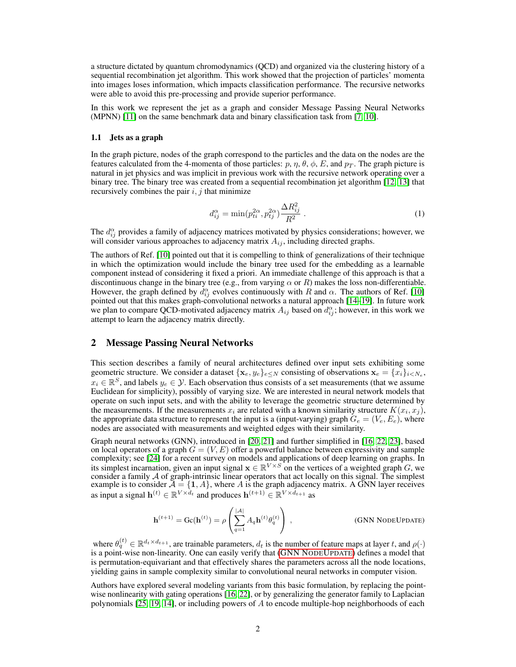a structure dictated by quantum chromodynamics (QCD) and organized via the clustering history of a sequential recombination jet algorithm. This work showed that the projection of particles' momenta into images loses information, which impacts classification performance. The recursive networks were able to avoid this pre-processing and provide superior performance.

In this work we represent the jet as a graph and consider Message Passing Neural Networks (MPNN) [\[11\]](#page-4-4) on the same benchmark data and binary classification task from [\[7,](#page-4-5) [10\]](#page-4-3).

#### 1.1 Jets as a graph

In the graph picture, nodes of the graph correspond to the particles and the data on the nodes are the features calculated from the 4-momenta of those particles:  $p, \eta, \theta, \phi, E$ , and  $p_T$ . The graph picture is natural in jet physics and was implicit in previous work with the recursive network operating over a binary tree. The binary tree was created from a sequential recombination jet algorithm [\[12,](#page-4-6) [13\]](#page-4-7) that recursively combines the pair  $i, j$  that minimize

$$
d_{ij}^{\alpha} = \min(p_{ti}^{2\alpha}, p_{tj}^{2\alpha}) \frac{\Delta R_{ij}^{2}}{R^{2}}.
$$
 (1)

The  $d_{ij}^{\alpha}$  provides a family of adjacency matrices motivated by physics considerations; however, we will consider various approaches to adjacency matrix  $A_{ij}$ , including directed graphs.

The authors of Ref. [\[10\]](#page-4-3) pointed out that it is compelling to think of generalizations of their technique in which the optimization would include the binary tree used for the embedding as a learnable component instead of considering it fixed a priori. An immediate challenge of this approach is that a discontinuous change in the binary tree (e.g., from varying  $\alpha$  or R) makes the loss non-differentiable. However, the graph defined by  $d_{ij}^{\alpha}$  evolves continuously with R and  $\alpha$ . The authors of Ref. [\[10\]](#page-4-3) pointed out that this makes graph-convolutional networks a natural approach [\[14–](#page-4-8)[19\]](#page-5-0). In future work we plan to compare QCD-motivated adjacency matrix  $A_{ij}$  based on  $d_{ij}^{\alpha}$ ; however, in this work we attempt to learn the adjacency matrix directly.

## 2 Message Passing Neural Networks

This section describes a family of neural architectures defined over input sets exhibiting some geometric structure. We consider a dataset  $\{x_e, y_e\}_{e \le N}$  consisting of observations  $\mathbf{x}_e = \{x_i\}_{i \le N_e}$ ,  $x_i \in \mathbb{R}^S$ , and labels  $y_e \in \mathcal{Y}$ . Each observation thus consists of a set measurements (that we assume Euclidean for simplicity), possibly of varying size. We are interested in neural network models that operate on such input sets, and with the ability to leverage the geometric structure determined by the measurements. If the measurements  $x_i$  are related with a known similarity structure  $K(x_i, x_j)$ , the appropriate data structure to represent the input is a (input-varying) graph  $G_e = (V_e, E_e)$ , where nodes are associated with measurements and weighted edges with their similarity.

Graph neural networks (GNN), introduced in [\[20,](#page-5-1) [21\]](#page-5-2) and further simplified in [\[16,](#page-4-9) [22,](#page-5-3) [23\]](#page-5-4), based on local operators of a graph  $G = (V, E)$  offer a powerful balance between expressivity and sample complexity; see [\[24\]](#page-5-5) for a recent survey on models and applications of deep learning on graphs. In its simplest incarnation, given an input signal  $\mathbf{x} \in \mathbb{R}^{V \times S}$  on the vertices of a weighted graph G, we consider a family  $A$  of graph-intrinsic linear operators that act locally on this signal. The simplest example is to consider  $\bar{\mathcal{A}} = \{1, A\}$ , where A is the graph adjacency matrix. A GNN layer receives as input a signal  $\mathbf{h}^{(t)} \in \mathbb{R}^{V \times d_t}$  and produces  $\mathbf{h}^{(t+1)} \in \mathbb{R}^{V \times d_{t+1}}$  as

$$
\mathbf{h}^{(t+1)} = \mathrm{Gc}(\mathbf{h}^{(t)}) = \rho \left( \sum_{q=1}^{|\mathcal{A}|} A_q \mathbf{h}^{(t)} \theta_q^{(t)} \right) ,\qquad \qquad \text{(GNN NODEUPDATE)}
$$

<span id="page-1-0"></span>where  $\theta_q^{(t)} \in \mathbb{R}^{d_t \times d_{t+1}}$ , are trainable parameters,  $d_t$  is the number of feature maps at layer t, and  $\rho(\cdot)$ is a point-wise non-linearity. One can easily verify that [\(GNN N](#page-1-0)ODEUPDATE) defines a model that is permutation-equivariant and that effectively shares the parameters across all the node locations, yielding gains in sample complexity similar to convolutional neural networks in computer vision.

Authors have explored several modeling variants from this basic formulation, by replacing the pointwise nonlinearity with gating operations [\[16,](#page-4-9) [22\]](#page-5-3), or by generalizing the generator family to Laplacian polynomials [\[25,](#page-5-6) [19,](#page-5-0) [14\]](#page-4-8), or including powers of A to encode multiple-hop neighborhoods of each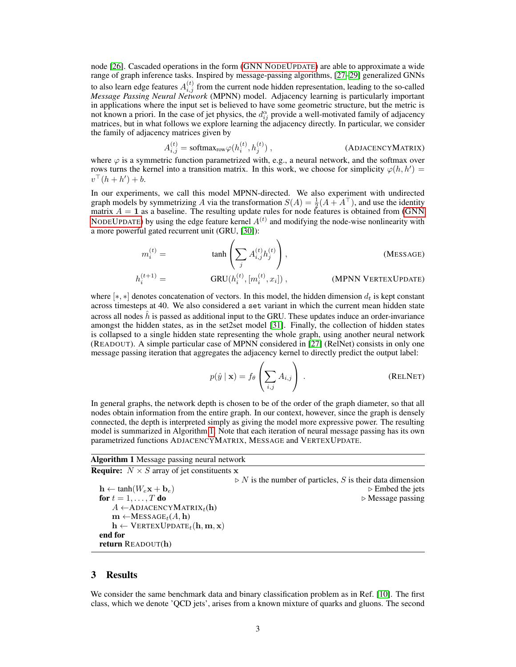node [\[26\]](#page-5-7). Cascaded operations in the form [\(GNN N](#page-1-0)ODEUPDATE) are able to approximate a wide range of graph inference tasks. Inspired by message-passing algorithms, [\[27–](#page-5-8)[29\]](#page-5-9) generalized GNNs to also learn edge features  $A_{i,j}^{(t)}$  from the current node hidden representation, leading to the so-called *Message Passing Neural Network* (MPNN) model. Adjacency learning is particularly important in applications where the input set is believed to have some geometric structure, but the metric is not known a priori. In the case of jet physics, the  $d_{ij}^{\alpha}$  provide a well-motivated family of adjacency matrices, but in what follows we explore learning the adjacency directly. In particular, we consider the family of adjacency matrices given by

$$
A_{i,j}^{(t)} = \text{softmax}_{\text{row}} \varphi(h_i^{(t)}, h_j^{(t)})\,,\tag{ADJACENCYMATRIX}
$$

where  $\varphi$  is a symmetric function parametrized with, e.g., a neural network, and the softmax over rows turns the kernel into a transition matrix. In this work, we choose for simplicity  $\varphi(h, h') =$  $v^{\top}(h + h') + b.$ 

In our experiments, we call this model MPNN-directed. We also experiment with undirected graph models by symmetrizing A via the transformation  $S(A) = \frac{1}{2}(A + A^{\top})$ , and use the identity matrix  $A = 1$  as a baseline. The resulting update rules for node features is obtained from [\(GNN](#page-1-0)) NODEU[PDATE](#page-1-0)) by using the edge feature kernel  $A<sup>(t)</sup>$  and modifying the node-wise nonlinearity with a more powerful gated recurrent unit (GRU, [\[30\]](#page-5-10)):

m (t) <sup>i</sup> = tanh X j A (t) i,jh (t) j , (MESSAGE) h (t+1) <sup>i</sup> = GRU(h (t) i , [m (t) i , x<sup>i</sup> ]) , (MPNN VERTEXUPDATE)

where [ $\ast$ ,  $\ast$ ] denotes concatenation of vectors. In this model, the hidden dimension  $d_t$  is kept constant across timesteps at 40. We also considered a set variant in which the current mean hidden state across all nodes  $h$  is passed as additional input to the GRU. These updates induce an order-invariance amongst the hidden states, as in the set2set model [\[31\]](#page-5-11). Finally, the collection of hidden states is collapsed to a single hidden state representing the whole graph, using another neural network (READOUT). A simple particular case of MPNN considered in [\[27\]](#page-5-8) (RelNet) consists in only one message passing iteration that aggregates the adjacency kernel to directly predict the output label:

$$
p(\hat{y} \mid \mathbf{x}) = f_{\theta} \left( \sum_{i,j} A_{i,j} \right) .
$$
 (RELNET)

In general graphs, the network depth is chosen to be of the order of the graph diameter, so that all nodes obtain information from the entire graph. In our context, however, since the graph is densely connected, the depth is interpreted simply as giving the model more expressive power. The resulting model is summarized in Algorithm [1.](#page-2-0) Note that each iteration of neural message passing has its own parametrized functions ADJACENCYMATRIX, MESSAGE and VERTEXUPDATE.

#### Algorithm 1 Message passing neural network **Require:**  $N \times S$  array of jet constituents x

| <b>INCQUIFIC:</b> $\forall x \in \mathcal{D}$ array of just constructive $\mathbf{A}$ |                                                                          |
|---------------------------------------------------------------------------------------|--------------------------------------------------------------------------|
|                                                                                       | $\triangleright$ N is the number of particles, S is their data dimension |
| $\mathbf{h} \leftarrow \tanh(W_e \mathbf{x} + \mathbf{b}_e)$                          | $\triangleright$ Embed the jets                                          |
| for $t = 1, \ldots, T$ do                                                             | $\triangleright$ Message passing                                         |
| A $\leftarrow$ ADJACENCYMATRIX <sub>t</sub> (h)                                       |                                                                          |
| $\mathbf{m} \leftarrow \text{MESSAGE}_{t}(A, \mathbf{h})$                             |                                                                          |
| $\mathbf{h} \leftarrow \text{VERTEXUPDATE}_{t}(\mathbf{h}, \mathbf{m}, \mathbf{x})$   |                                                                          |
| end for                                                                               |                                                                          |
| return $READOUT(h)$                                                                   |                                                                          |
|                                                                                       |                                                                          |

## <span id="page-2-0"></span>3 Results

We consider the same benchmark data and binary classification problem as in Ref. [\[10\]](#page-4-3). The first class, which we denote 'QCD jets', arises from a known mixture of quarks and gluons. The second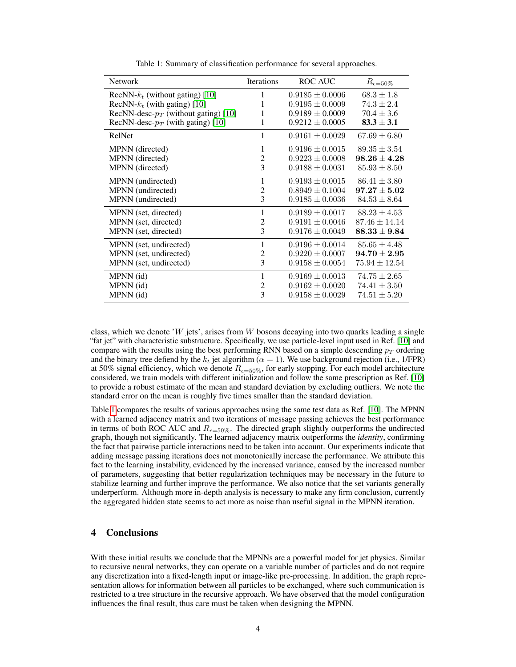<span id="page-3-0"></span>

| <b>Network</b>                          | Iterations     | ROC AUC             | $R_{\epsilon=50\%}$ |
|-----------------------------------------|----------------|---------------------|---------------------|
| RecNN- $k_t$ (without gating) [10]      | 1              | $0.9185 \pm 0.0006$ | $68.3 \pm 1.8$      |
| RecNN- $k_t$ (with gating) [10]         | 1              | $0.9195 \pm 0.0009$ | $74.3 \pm 2.4$      |
| RecNN-desc- $p_T$ (without gating) [10] | 1              | $0.9189 \pm 0.0009$ | $70.4 \pm 3.6$      |
| RecNN-desc- $p_T$ (with gating) [10]    | 1              | $0.9212 \pm 0.0005$ | $83.3 \pm 3.1$      |
| RelNet                                  | 1              | $0.9161 \pm 0.0029$ | $67.69 \pm 6.80$    |
| MPNN (directed)                         | 1              | $0.9196 \pm 0.0015$ | $89.35 \pm 3.54$    |
| MPNN (directed)                         | $\overline{2}$ | $0.9223 \pm 0.0008$ | $98.26 \pm 4.28$    |
| MPNN (directed)                         | 3              | $0.9188 \pm 0.0031$ | $85.93 \pm 8.50$    |
| MPNN (undirected)                       | 1              | $0.9193 \pm 0.0015$ | $86.41 \pm 3.80$    |
| MPNN (undirected)                       | 2              | $0.8949 \pm 0.1004$ | $97.27 \pm 5.02$    |
| MPNN (undirected)                       | 3              | $0.9185 \pm 0.0036$ | $84.53 \pm 8.64$    |
| MPNN (set, directed)                    | 1              | $0.9189 \pm 0.0017$ | $88.23 \pm 4.53$    |
| MPNN (set, directed)                    | 2              | $0.9191 \pm 0.0046$ | $87.46 \pm 14.14$   |
| MPNN (set, directed)                    | 3              | $0.9176 \pm 0.0049$ | $88.33 \pm 9.84$    |
| MPNN (set, undirected)                  | 1              | $0.9196 \pm 0.0014$ | $85.65 \pm 4.48$    |
| MPNN (set, undirected)                  | 2              | $0.9220 \pm 0.0007$ | $94.70 \pm 2.95$    |
| MPNN (set, undirected)                  | 3              | $0.9158 \pm 0.0054$ | $75.94 \pm 12.54$   |
| MPNN (id)                               | 1              | $0.9169 \pm 0.0013$ | $74.75 \pm 2.65$    |
| MPNN (id)                               | $\overline{c}$ | $0.9162 \pm 0.0020$ | $74.41 \pm 3.50$    |
| MPNN (id)                               | 3              | $0.9158 \pm 0.0029$ | $74.51 \pm 5.20$    |

Table 1: Summary of classification performance for several approaches.

class, which we denote 'W jets', arises from W bosons decaying into two quarks leading a single "fat jet" with characteristic substructure. Specifically, we use particle-level input used in Ref. [\[10\]](#page-4-3) and compare with the results using the best performing RNN based on a simple descending  $p_T$  ordering and the binary tree defiend by the  $k_t$  jet algorithm ( $\alpha = 1$ ). We use background rejection (i.e., 1/FPR) at 50% signal efficiency, which we denote  $R_{\epsilon=50\%}$ , for early stopping. For each model architecture considered, we train models with different initialization and follow the same prescription as Ref. [\[10\]](#page-4-3) to provide a robust estimate of the mean and standard deviation by excluding outliers. We note the standard error on the mean is roughly five times smaller than the standard deviation.

Table [1](#page-3-0) compares the results of various approaches using the same test data as Ref. [\[10\]](#page-4-3). The MPNN with a learned adjacency matrix and two iterations of message passing achieves the best performance in terms of both ROC AUC and  $R_{\epsilon=50\%}$ . The directed graph slightly outperforms the undirected graph, though not significantly. The learned adjacency matrix outperforms the *identity*, confirming the fact that pairwise particle interactions need to be taken into account. Our experiments indicate that adding message passing iterations does not monotonically increase the performance. We attribute this fact to the learning instability, evidenced by the increased variance, caused by the increased number of parameters, suggesting that better regularization techniques may be necessary in the future to stabilize learning and further improve the performance. We also notice that the set variants generally underperform. Although more in-depth analysis is necessary to make any firm conclusion, currently the aggregated hidden state seems to act more as noise than useful signal in the MPNN iteration.

# 4 Conclusions

With these initial results we conclude that the MPNNs are a powerful model for jet physics. Similar to recursive neural networks, they can operate on a variable number of particles and do not require any discretization into a fixed-length input or image-like pre-processing. In addition, the graph representation allows for information between all particles to be exchanged, where such communication is restricted to a tree structure in the recursive approach. We have observed that the model configuration influences the final result, thus care must be taken when designing the MPNN.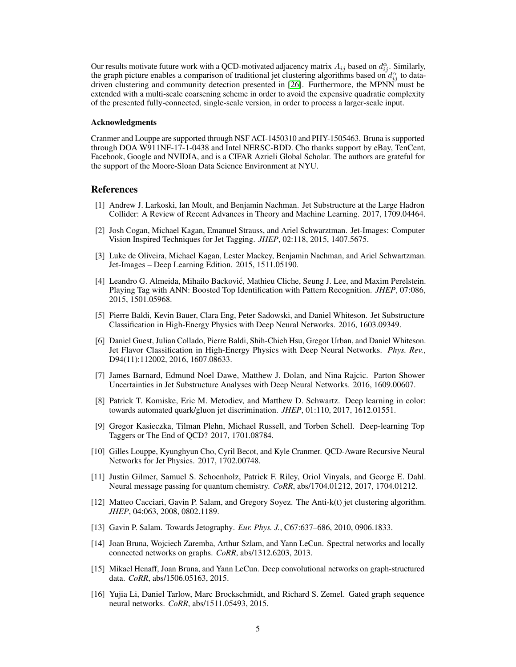Our results motivate future work with a QCD-motivated adjacency matrix  $A_{ij}$  based on  $d_{ij}^{\alpha}$ . Similarly, the graph picture enables a comparison of traditional jet clustering algorithms based on  $d_{ij}^{\alpha}$  to datadriven clustering and community detection presented in [\[26\]](#page-5-7). Furthermore, the MPNN must be extended with a multi-scale coarsening scheme in order to avoid the expensive quadratic complexity of the presented fully-connected, single-scale version, in order to process a larger-scale input.

#### Acknowledgments

Cranmer and Louppe are supported through NSF ACI-1450310 and PHY-1505463. Bruna is supported through DOA W911NF-17-1-0438 and Intel NERSC-BDD. Cho thanks support by eBay, TenCent, Facebook, Google and NVIDIA, and is a CIFAR Azrieli Global Scholar. The authors are grateful for the support of the Moore-Sloan Data Science Environment at NYU.

## References

- <span id="page-4-0"></span>[1] Andrew J. Larkoski, Ian Moult, and Benjamin Nachman. Jet Substructure at the Large Hadron Collider: A Review of Recent Advances in Theory and Machine Learning. 2017, 1709.04464.
- <span id="page-4-1"></span>[2] Josh Cogan, Michael Kagan, Emanuel Strauss, and Ariel Schwarztman. Jet-Images: Computer Vision Inspired Techniques for Jet Tagging. *JHEP*, 02:118, 2015, 1407.5675.
- [3] Luke de Oliveira, Michael Kagan, Lester Mackey, Benjamin Nachman, and Ariel Schwartzman. Jet-Images – Deep Learning Edition. 2015, 1511.05190.
- [4] Leandro G. Almeida, Mihailo Backovic, Mathieu Cliche, Seung J. Lee, and Maxim Perelstein. ´ Playing Tag with ANN: Boosted Top Identification with Pattern Recognition. *JHEP*, 07:086, 2015, 1501.05968.
- [5] Pierre Baldi, Kevin Bauer, Clara Eng, Peter Sadowski, and Daniel Whiteson. Jet Substructure Classification in High-Energy Physics with Deep Neural Networks. 2016, 1603.09349.
- [6] Daniel Guest, Julian Collado, Pierre Baldi, Shih-Chieh Hsu, Gregor Urban, and Daniel Whiteson. Jet Flavor Classification in High-Energy Physics with Deep Neural Networks. *Phys. Rev.*, D94(11):112002, 2016, 1607.08633.
- <span id="page-4-5"></span>[7] James Barnard, Edmund Noel Dawe, Matthew J. Dolan, and Nina Rajcic. Parton Shower Uncertainties in Jet Substructure Analyses with Deep Neural Networks. 2016, 1609.00607.
- [8] Patrick T. Komiske, Eric M. Metodiev, and Matthew D. Schwartz. Deep learning in color: towards automated quark/gluon jet discrimination. *JHEP*, 01:110, 2017, 1612.01551.
- <span id="page-4-2"></span>[9] Gregor Kasieczka, Tilman Plehn, Michael Russell, and Torben Schell. Deep-learning Top Taggers or The End of QCD? 2017, 1701.08784.
- <span id="page-4-3"></span>[10] Gilles Louppe, Kyunghyun Cho, Cyril Becot, and Kyle Cranmer. QCD-Aware Recursive Neural Networks for Jet Physics. 2017, 1702.00748.
- <span id="page-4-4"></span>[11] Justin Gilmer, Samuel S. Schoenholz, Patrick F. Riley, Oriol Vinyals, and George E. Dahl. Neural message passing for quantum chemistry. *CoRR*, abs/1704.01212, 2017, 1704.01212.
- <span id="page-4-6"></span>[12] Matteo Cacciari, Gavin P. Salam, and Gregory Soyez. The Anti-k(t) jet clustering algorithm. *JHEP*, 04:063, 2008, 0802.1189.
- <span id="page-4-7"></span>[13] Gavin P. Salam. Towards Jetography. *Eur. Phys. J.*, C67:637–686, 2010, 0906.1833.
- <span id="page-4-8"></span>[14] Joan Bruna, Wojciech Zaremba, Arthur Szlam, and Yann LeCun. Spectral networks and locally connected networks on graphs. *CoRR*, abs/1312.6203, 2013.
- [15] Mikael Henaff, Joan Bruna, and Yann LeCun. Deep convolutional networks on graph-structured data. *CoRR*, abs/1506.05163, 2015.
- <span id="page-4-9"></span>[16] Yujia Li, Daniel Tarlow, Marc Brockschmidt, and Richard S. Zemel. Gated graph sequence neural networks. *CoRR*, abs/1511.05493, 2015.